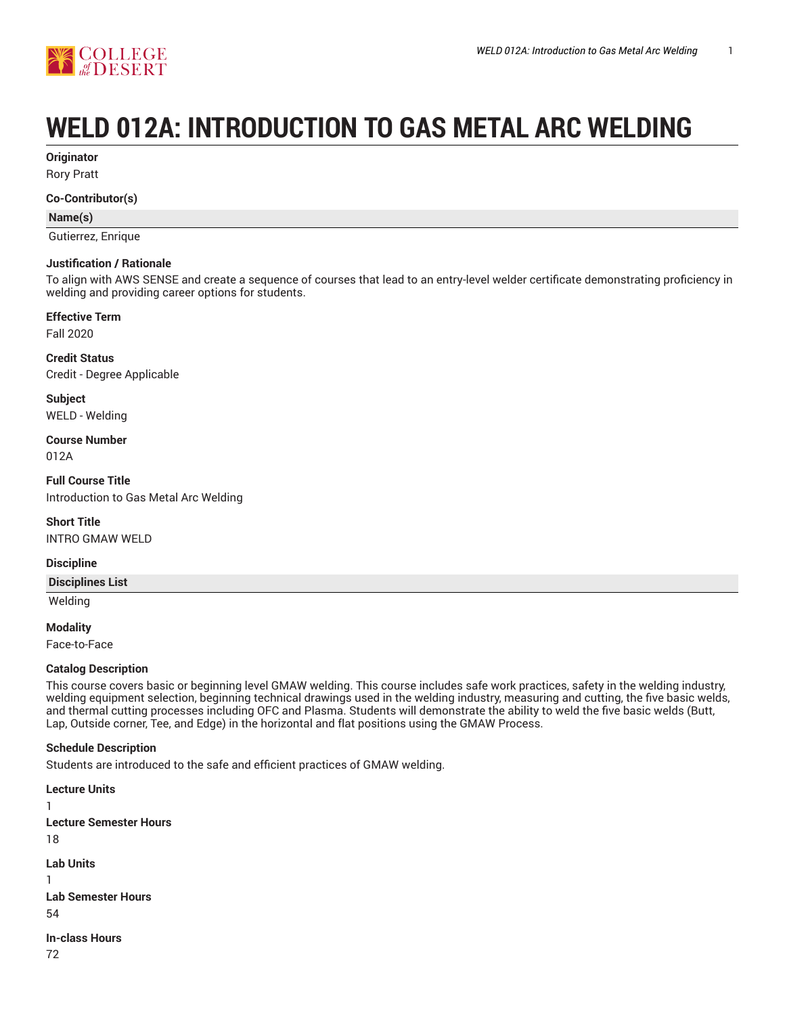

# **WELD 012A: INTRODUCTION TO GAS METAL ARC WELDING**

**Originator**

Rory Pratt

#### **Co-Contributor(s)**

**Name(s)**

Gutierrez, Enrique

#### **Justification / Rationale**

To align with AWS SENSE and create a sequence of courses that lead to an entry-level welder certificate demonstrating proficiency in welding and providing career options for students.

# **Effective Term**

Fall 2020

**Credit Status** Credit - Degree Applicable

**Subject** WELD - Welding

**Course Number** 012A

**Full Course Title** Introduction to Gas Metal Arc Welding

**Short Title** INTRO GMAW WELD

#### **Discipline**

**Disciplines List**

Welding

**Modality**

Face-to-Face

#### **Catalog Description**

This course covers basic or beginning level GMAW welding. This course includes safe work practices, safety in the welding industry, welding equipment selection, beginning technical drawings used in the welding industry, measuring and cutting, the five basic welds, and thermal cutting processes including OFC and Plasma. Students will demonstrate the ability to weld the five basic welds (Butt, Lap, Outside corner, Tee, and Edge) in the horizontal and flat positions using the GMAW Process.

#### **Schedule Description**

Students are introduced to the safe and efficient practices of GMAW welding.

**Lecture Units** 1 **Lecture Semester Hours** 18 **Lab Units** 1 **Lab Semester Hours** 54 **In-class Hours** 72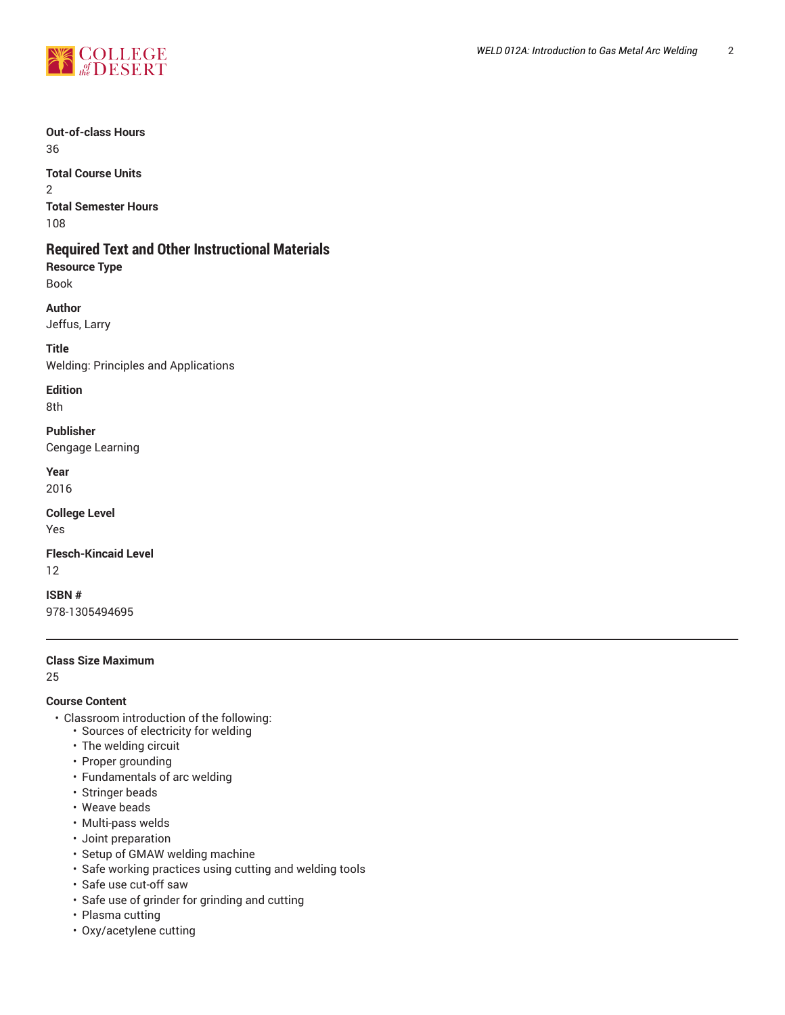

# **Out-of-class Hours**

36

# **Total Course Units**

2 **Total Semester Hours**

108

# **Required Text and Other Instructional Materials**

**Resource Type** Book

**Author**

Jeffus, Larry

**Title** Welding: Principles and Applications

**Edition**

8th

**Publisher** Cengage Learning

**Year** 2016

**College Level** Yes

**Flesch-Kincaid Level** 12

**ISBN #** 978-1305494695

#### **Class Size Maximum**

25

## **Course Content**

- Classroom introduction of the following:
	- Sources of electricity for welding
	- The welding circuit
	- Proper grounding
	- Fundamentals of arc welding
	- Stringer beads
	- Weave beads
	- Multi-pass welds
	- Joint preparation
	- Setup of GMAW welding machine
	- Safe working practices using cutting and welding tools
	- Safe use cut-off saw
	- Safe use of grinder for grinding and cutting
	- Plasma cutting
	- Oxy/acetylene cutting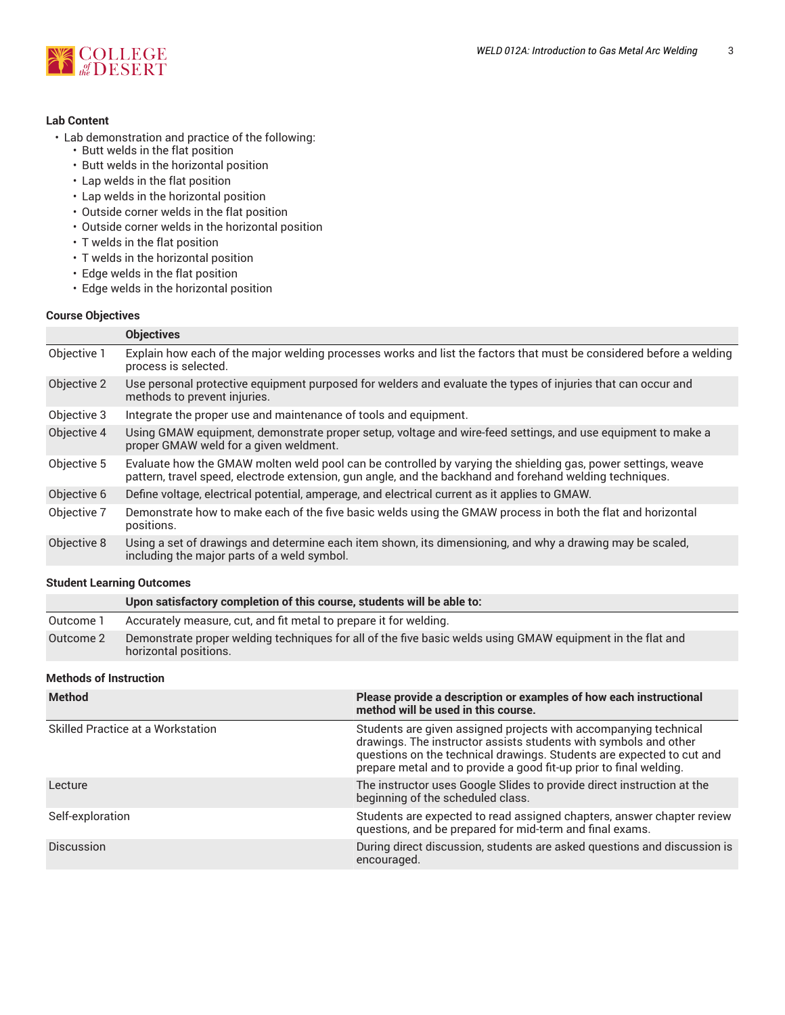

#### **Lab Content**

- Lab demonstration and practice of the following:
	- Butt welds in the flat position
	- Butt welds in the horizontal position
	- Lap welds in the flat position
	- Lap welds in the horizontal position
	- Outside corner welds in the flat position
	- Outside corner welds in the horizontal position
	- T welds in the flat position
	- T welds in the horizontal position
	- Edge welds in the flat position
	- Edge welds in the horizontal position

#### **Course Objectives**

|             | <b>Objectives</b>                                                                                                                                                                                                        |
|-------------|--------------------------------------------------------------------------------------------------------------------------------------------------------------------------------------------------------------------------|
| Objective 1 | Explain how each of the major welding processes works and list the factors that must be considered before a welding<br>process is selected.                                                                              |
| Objective 2 | Use personal protective equipment purposed for welders and evaluate the types of injuries that can occur and<br>methods to prevent injuries.                                                                             |
| Objective 3 | Integrate the proper use and maintenance of tools and equipment.                                                                                                                                                         |
| Objective 4 | Using GMAW equipment, demonstrate proper setup, voltage and wire-feed settings, and use equipment to make a<br>proper GMAW weld for a given weldment.                                                                    |
| Objective 5 | Evaluate how the GMAW molten weld pool can be controlled by varying the shielding gas, power settings, weave<br>pattern, travel speed, electrode extension, gun angle, and the backhand and forehand welding techniques. |
| Objective 6 | Define voltage, electrical potential, amperage, and electrical current as it applies to GMAW.                                                                                                                            |
| Objective 7 | Demonstrate how to make each of the five basic welds using the GMAW process in both the flat and horizontal<br>positions.                                                                                                |
| Objective 8 | Using a set of drawings and determine each item shown, its dimensioning, and why a drawing may be scaled,<br>including the major parts of a weld symbol.                                                                 |
|             |                                                                                                                                                                                                                          |

#### **Student Learning Outcomes**

|           | Upon satisfactory completion of this course, students will be able to:                                                              |
|-----------|-------------------------------------------------------------------------------------------------------------------------------------|
| Outcome 1 | Accurately measure, cut, and fit metal to prepare it for welding.                                                                   |
| Outcome 2 | Demonstrate proper welding techniques for all of the five basic welds using GMAW equipment in the flat and<br>horizontal positions. |

## **Methods of Instruction**

| <b>Method</b>                            | Please provide a description or examples of how each instructional<br>method will be used in this course.                                                                                                                                                                           |
|------------------------------------------|-------------------------------------------------------------------------------------------------------------------------------------------------------------------------------------------------------------------------------------------------------------------------------------|
| <b>Skilled Practice at a Workstation</b> | Students are given assigned projects with accompanying technical<br>drawings. The instructor assists students with symbols and other<br>questions on the technical drawings. Students are expected to cut and<br>prepare metal and to provide a good fit-up prior to final welding. |
| Lecture                                  | The instructor uses Google Slides to provide direct instruction at the<br>beginning of the scheduled class.                                                                                                                                                                         |
| Self-exploration                         | Students are expected to read assigned chapters, answer chapter review<br>questions, and be prepared for mid-term and final exams.                                                                                                                                                  |
| <b>Discussion</b>                        | During direct discussion, students are asked questions and discussion is<br>encouraged.                                                                                                                                                                                             |
|                                          |                                                                                                                                                                                                                                                                                     |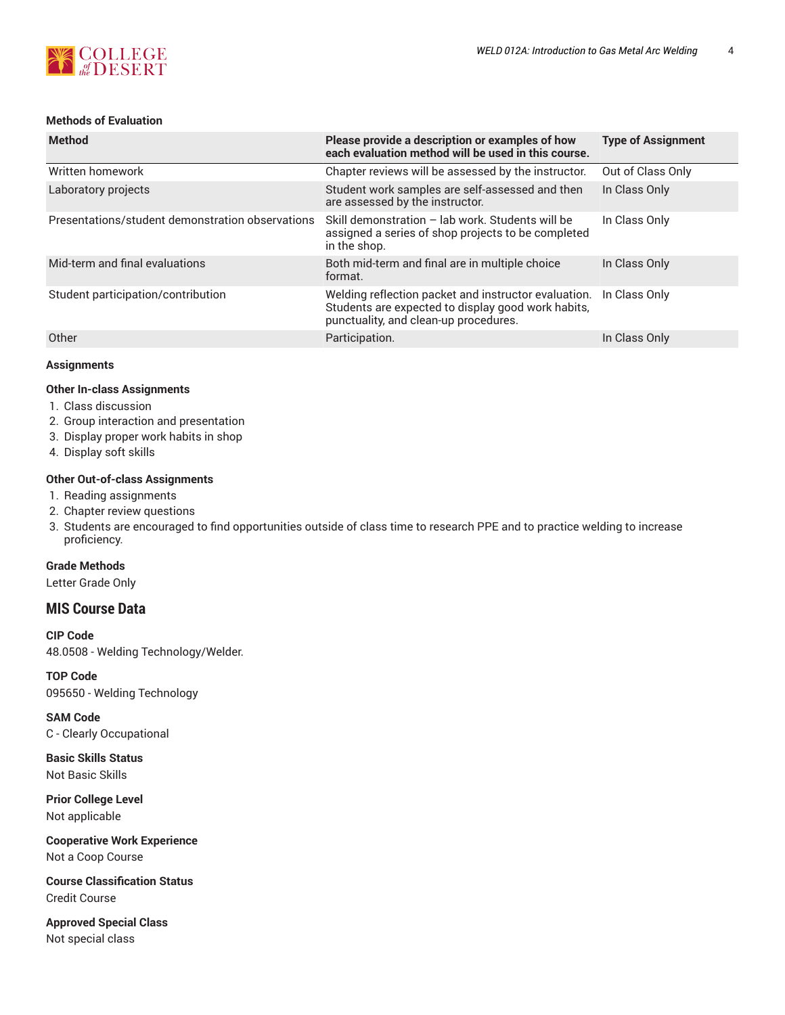

## **Methods of Evaluation**

| <b>Method</b>                                    | Please provide a description or examples of how<br>each evaluation method will be used in this course.                                              | <b>Type of Assignment</b> |
|--------------------------------------------------|-----------------------------------------------------------------------------------------------------------------------------------------------------|---------------------------|
| Written homework                                 | Chapter reviews will be assessed by the instructor.                                                                                                 | Out of Class Only         |
| Laboratory projects                              | Student work samples are self-assessed and then<br>are assessed by the instructor.                                                                  | In Class Only             |
| Presentations/student demonstration observations | Skill demonstration - lab work. Students will be<br>assigned a series of shop projects to be completed<br>in the shop.                              | In Class Only             |
| Mid-term and final evaluations                   | Both mid-term and final are in multiple choice<br>format.                                                                                           | In Class Only             |
| Student participation/contribution               | Welding reflection packet and instructor evaluation.<br>Students are expected to display good work habits,<br>punctuality, and clean-up procedures. | In Class Only             |
| Other                                            | Participation.                                                                                                                                      | In Class Only             |

#### **Assignments**

#### **Other In-class Assignments**

- 1. Class discussion
- 2. Group interaction and presentation
- 3. Display proper work habits in shop
- 4. Display soft skills

#### **Other Out-of-class Assignments**

- 1. Reading assignments
- 2. Chapter review questions
- 3. Students are encouraged to find opportunities outside of class time to research PPE and to practice welding to increase proficiency.

## **Grade Methods**

Letter Grade Only

# **MIS Course Data**

**CIP Code** 48.0508 - Welding Technology/Welder.

**TOP Code** 095650 - Welding Technology

**SAM Code** C - Clearly Occupational

**Basic Skills Status** Not Basic Skills

**Prior College Level**

Not applicable

**Cooperative Work Experience** Not a Coop Course

**Course Classification Status** Credit Course

**Approved Special Class** Not special class